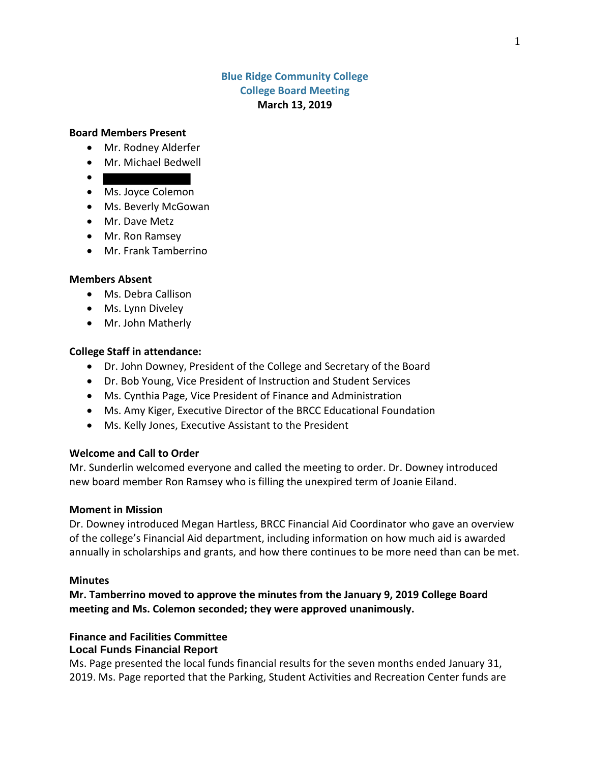# **Blue Ridge Community College College Board Meeting March 13, 2019**

## **Board Members Present**

- Mr. Rodney Alderfer
- Mr. Michael Bedwell
- $\bullet$
- Ms. Joyce Colemon
- Ms. Beverly McGowan
- Mr. Dave Metz
- Mr. Ron Ramsey
- Mr. Frank Tamberrino

#### **Members Absent**

- Ms. Debra Callison
- Ms. Lynn Diveley
- Mr. John Matherly

#### **College Staff in attendance:**

- Dr. John Downey, President of the College and Secretary of the Board
- Dr. Bob Young, Vice President of Instruction and Student Services
- Ms. Cynthia Page, Vice President of Finance and Administration
- Ms. Amy Kiger, Executive Director of the BRCC Educational Foundation
- Ms. Kelly Jones, Executive Assistant to the President

### **Welcome and Call to Order**

Mr. Sunderlin welcomed everyone and called the meeting to order. Dr. Downey introduced new board member Ron Ramsey who is filling the unexpired term of Joanie Eiland.

### **Moment in Mission**

Dr. Downey introduced Megan Hartless, BRCC Financial Aid Coordinator who gave an overview of the college's Financial Aid department, including information on how much aid is awarded annually in scholarships and grants, and how there continues to be more need than can be met.

#### **Minutes**

**Mr. Tamberrino moved to approve the minutes from the January 9, 2019 College Board meeting and Ms. Colemon seconded; they were approved unanimously.**

#### **Finance and Facilities Committee Local Funds Financial Report**

Ms. Page presented the local funds financial results for the seven months ended January 31, 2019. Ms. Page reported that the Parking, Student Activities and Recreation Center funds are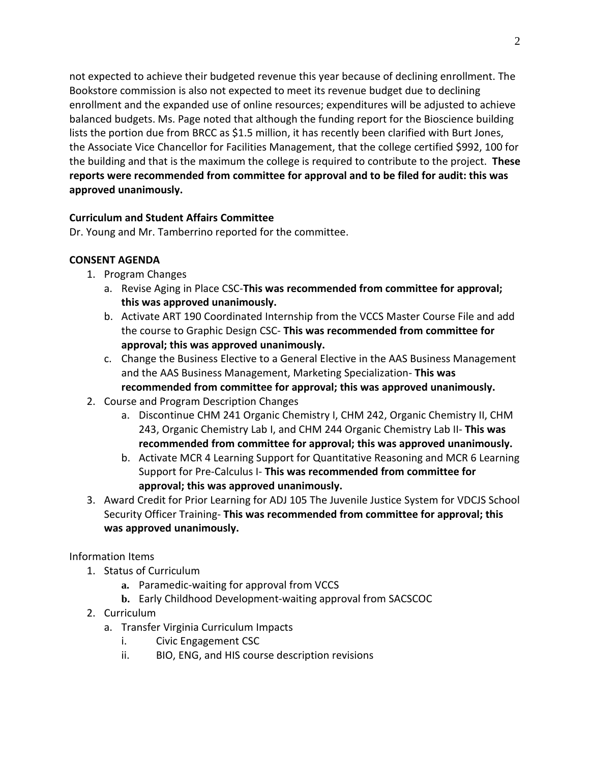not expected to achieve their budgeted revenue this year because of declining enrollment. The Bookstore commission is also not expected to meet its revenue budget due to declining enrollment and the expanded use of online resources; expenditures will be adjusted to achieve balanced budgets. Ms. Page noted that although the funding report for the Bioscience building lists the portion due from BRCC as \$1.5 million, it has recently been clarified with Burt Jones, the Associate Vice Chancellor for Facilities Management, that the college certified \$992, 100 for the building and that is the maximum the college is required to contribute to the project. **These reports were recommended from committee for approval and to be filed for audit: this was approved unanimously.**

# **Curriculum and Student Affairs Committee**

Dr. Young and Mr. Tamberrino reported for the committee.

# **CONSENT AGENDA**

- 1. Program Changes
	- a. Revise Aging in Place CSC-**This was recommended from committee for approval; this was approved unanimously.**
	- b. Activate ART 190 Coordinated Internship from the VCCS Master Course File and add the course to Graphic Design CSC- **This was recommended from committee for approval; this was approved unanimously.**
	- c. Change the Business Elective to a General Elective in the AAS Business Management and the AAS Business Management, Marketing Specialization- **This was recommended from committee for approval; this was approved unanimously.**
- 2. Course and Program Description Changes
	- a. Discontinue CHM 241 Organic Chemistry I, CHM 242, Organic Chemistry II, CHM 243, Organic Chemistry Lab I, and CHM 244 Organic Chemistry Lab II- **This was recommended from committee for approval; this was approved unanimously.**
	- b. Activate MCR 4 Learning Support for Quantitative Reasoning and MCR 6 Learning Support for Pre-Calculus I- **This was recommended from committee for approval; this was approved unanimously.**
- 3. Award Credit for Prior Learning for ADJ 105 The Juvenile Justice System for VDCJS School Security Officer Training- **This was recommended from committee for approval; this was approved unanimously.**

# Information Items

- 1. Status of Curriculum
	- **a.** Paramedic-waiting for approval from VCCS
	- **b.** Early Childhood Development-waiting approval from SACSCOC
- 2. Curriculum
	- a. Transfer Virginia Curriculum Impacts
		- i. Civic Engagement CSC
		- ii. BIO, ENG, and HIS course description revisions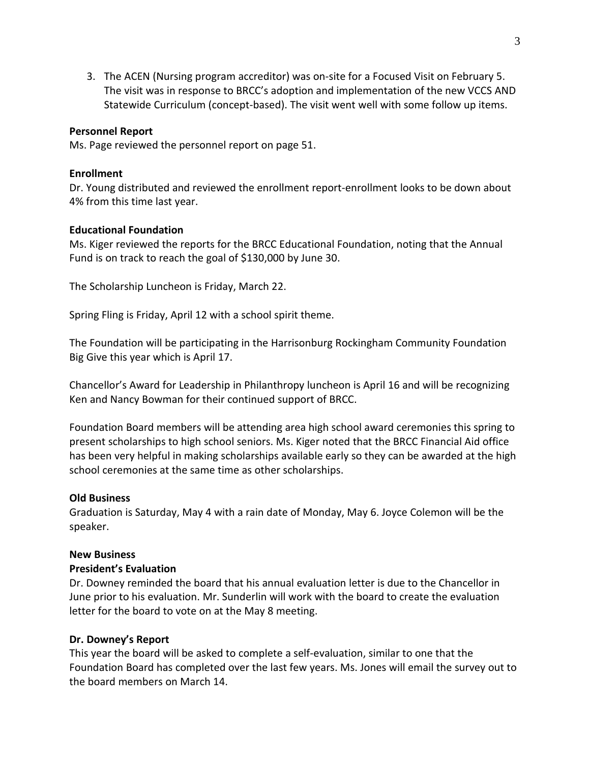3. The ACEN (Nursing program accreditor) was on-site for a Focused Visit on February 5. The visit was in response to BRCC's adoption and implementation of the new VCCS AND Statewide Curriculum (concept-based). The visit went well with some follow up items.

# **Personnel Report**

Ms. Page reviewed the personnel report on page 51.

# **Enrollment**

Dr. Young distributed and reviewed the enrollment report-enrollment looks to be down about 4% from this time last year.

# **Educational Foundation**

Ms. Kiger reviewed the reports for the BRCC Educational Foundation, noting that the Annual Fund is on track to reach the goal of \$130,000 by June 30.

The Scholarship Luncheon is Friday, March 22.

Spring Fling is Friday, April 12 with a school spirit theme.

The Foundation will be participating in the Harrisonburg Rockingham Community Foundation Big Give this year which is April 17.

Chancellor's Award for Leadership in Philanthropy luncheon is April 16 and will be recognizing Ken and Nancy Bowman for their continued support of BRCC.

Foundation Board members will be attending area high school award ceremonies this spring to present scholarships to high school seniors. Ms. Kiger noted that the BRCC Financial Aid office has been very helpful in making scholarships available early so they can be awarded at the high school ceremonies at the same time as other scholarships.

## **Old Business**

Graduation is Saturday, May 4 with a rain date of Monday, May 6. Joyce Colemon will be the speaker.

## **New Business**

## **President's Evaluation**

Dr. Downey reminded the board that his annual evaluation letter is due to the Chancellor in June prior to his evaluation. Mr. Sunderlin will work with the board to create the evaluation letter for the board to vote on at the May 8 meeting.

## **Dr. Downey's Report**

This year the board will be asked to complete a self-evaluation, similar to one that the Foundation Board has completed over the last few years. Ms. Jones will email the survey out to the board members on March 14.